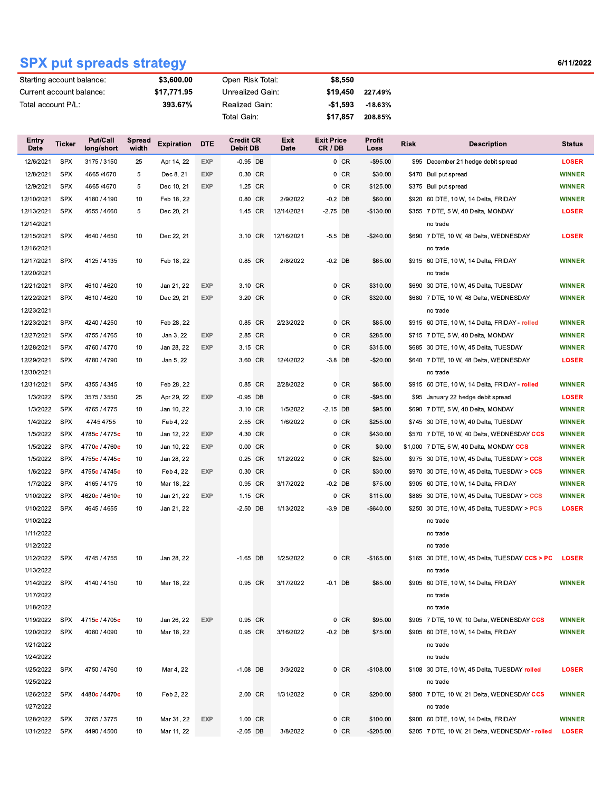## **SPX put spreads strategy**

1/25/2022

1/27/2022

1/28/2022 SPX

1/26/2022 SPX 4480c / 4470c

1/31/2022 SPX 4490 / 4500

3765 / 3775

Feb 2, 22

Mar 11, 22

Mar 31, 22 EXP

2.00 CR

1.00 CR

 $-2.05$  DB

1/31/2022

3/8/2022

 $0$  CR

 $0$  CR

 $0$  CR

\$200.00

\$100.00

 $-$205.00$ 

 $10\,$ 

 $10$ 

 $10\,$ 

| Starting account balance: |            |                               | \$3,600.00             |                   |            | Open Risk Total:             |  |                     | \$8,550                    |          |                |             |                                                |               |
|---------------------------|------------|-------------------------------|------------------------|-------------------|------------|------------------------------|--|---------------------|----------------------------|----------|----------------|-------------|------------------------------------------------|---------------|
| Current account balance:  |            |                               | \$17,771.95            |                   |            | Unrealized Gain:             |  |                     |                            | \$19,450 | 227.49%        |             |                                                |               |
| Total account P/L:        |            |                               | 393.67%                |                   |            | Realized Gain:               |  |                     |                            | -\$1,593 | $-18.63%$      |             |                                                |               |
|                           |            |                               |                        |                   |            | Total Gain:                  |  |                     |                            | \$17,857 | 208.85%        |             |                                                |               |
|                           |            |                               |                        |                   |            |                              |  |                     |                            |          |                |             |                                                |               |
| Entry<br>Date             | Ticker     | <b>Put/Call</b><br>long/short | <b>Spread</b><br>width | <b>Expiration</b> | <b>DTE</b> | <b>Credit CR</b><br>Debit DB |  | Exit<br><b>Date</b> | <b>Exit Price</b><br>CR/DB |          | Profit<br>Loss | <b>Risk</b> | <b>Description</b>                             | <b>Status</b> |
| 12/6/2021                 | <b>SPX</b> | 3175 / 3150                   | 25                     | Apr 14, 22        | EXP        | $-0.95$ DB                   |  |                     |                            | $0$ CR   | $-$ \$95.00    |             | \$95 December 21 hedge debit spread            | <b>LOSER</b>  |
| 12/8/2021                 | <b>SPX</b> | 4665 / 4670                   | 5                      | Dec 8, 21         | <b>EXP</b> | 0.30 CR                      |  |                     |                            | $0$ CR   | \$30.00        |             | \$470 Bull put spread                          | <b>WINNER</b> |
| 12/9/2021                 | <b>SPX</b> | 4665 / 4670                   | 5                      | Dec 10, 21        | <b>EXP</b> | 1.25 CR                      |  |                     |                            | $0$ CR   | \$125.00       |             | \$375 Bull put spread                          | <b>WINNER</b> |
| 12/10/2021                | <b>SPX</b> | 4180 / 4190                   | 10                     | Feb 18, 22        |            | 0.80 CR                      |  | 2/9/2022            | $-0.2$ DB                  |          | \$60.00        |             | \$920 60 DTE, 10 W, 14 Delta, FRIDAY           | <b>WINNER</b> |
| 12/13/2021                | <b>SPX</b> | 4655 / 4660                   | 5                      | Dec 20, 21        |            | 1.45 CR                      |  | 12/14/2021          | $-2.75$ DB                 |          | $-$130.00$     |             | \$355 7 DTE, 5 W, 40 Delta, MONDAY             | <b>LOSER</b>  |
| 12/14/2021                |            |                               |                        |                   |            |                              |  |                     |                            |          |                |             | no trade                                       |               |
| 12/15/2021                | <b>SPX</b> | 4640 / 4650                   | 10                     | Dec 22, 21        |            | 3.10 CR                      |  | 12/16/2021          | $-5.5$ DB                  |          | $-$240.00$     |             | \$690 7 DTE, 10 W, 48 Delta, WEDNESDAY         | LOSER         |
| 12/16/2021                |            |                               |                        |                   |            |                              |  |                     |                            |          |                |             | no trade                                       |               |
| 12/17/2021                | <b>SPX</b> | 4125 / 4135                   | 10                     | Feb 18, 22        |            | 0.85 CR                      |  | 2/8/2022            | $-0.2$ DB                  |          | \$65.00        |             | \$915 60 DTE, 10 W, 14 Delta, FRIDAY           | <b>WINNER</b> |
| 12/20/2021                |            |                               |                        |                   |            |                              |  |                     |                            |          |                |             | no trade                                       |               |
| 12/21/2021                | <b>SPX</b> | 4610 / 4620                   | 10                     | Jan 21, 22        | <b>EXP</b> | 3.10 CR                      |  |                     |                            | $0$ CR   | \$310.00       |             | \$690 30 DTE, 10 W, 45 Delta, TUESDAY          | <b>WINNER</b> |
| 12/22/2021                | <b>SPX</b> | 4610 / 4620                   | 10                     | Dec 29, 21        | <b>EXP</b> | 3.20 CR                      |  |                     |                            | $0$ CR   | \$320.00       |             | \$680 7 DTE, 10 W, 48 Delta, WEDNESDAY         | <b>WINNER</b> |
| 12/23/2021                |            |                               |                        |                   |            |                              |  |                     |                            |          |                |             | no trade                                       |               |
| 12/23/2021                | <b>SPX</b> | 4240 / 4250                   | 10                     | Feb 28, 22        |            | 0.85 CR                      |  | 2/23/2022           |                            | $0$ CR   | \$85.00        |             | \$915 60 DTE, 10 W, 14 Delta, FRIDAY - rolled  | <b>WINNER</b> |
| 12/27/2021                | <b>SPX</b> | 4755 / 4765                   | 10                     | Jan 3, 22         | <b>EXP</b> | 2.85 CR                      |  |                     |                            | $0$ CR   | \$285.00       |             | \$715 7 DTE, 5 W, 40 Delta, MONDAY             | <b>WINNER</b> |
| 12/28/2021                | <b>SPX</b> | 4760 / 4770                   | 10                     | Jan 28, 22        | <b>EXP</b> | 3.15 CR                      |  |                     |                            | $0$ CR   | \$315.00       |             | \$685 30 DTE, 10 W, 45 Delta, TUESDAY          | <b>WINNER</b> |
| 12/29/2021                | <b>SPX</b> | 4780 / 4790                   | 10                     | Jan 5, 22         |            | 3.60 CR                      |  | 12/4/2022           | $-3.8$ DB                  |          | $-$20.00$      |             | \$640 7 DTE, 10 W, 48 Delta, WEDNESDAY         | <b>LOSER</b>  |
| 12/30/2021                |            |                               |                        |                   |            |                              |  |                     |                            |          |                |             | no trade                                       |               |
| 12/31/2021                | <b>SPX</b> | 4355 / 4345                   | 10                     | Feb 28, 22        |            | 0.85 CR                      |  | 2/28/2022           |                            | 0 CR     | \$85.00        |             | \$915 60 DTE, 10 W, 14 Delta, FRIDAY - rolled  | <b>WINNER</b> |
| 1/3/2022                  | <b>SPX</b> | 3575 / 3550                   | 25                     | Apr 29, 22        | <b>EXP</b> | $-0.95$ DB                   |  |                     |                            | $0$ CR   | $-$95.00$      |             | \$95 January 22 hedge debit spread             | <b>LOSER</b>  |
| 1/3/2022                  | <b>SPX</b> | 4765 / 4775                   | 10                     | Jan 10, 22        |            | 3.10 CR                      |  | 1/5/2022            | -2.15 DB                   |          | \$95.00        |             | \$690 7 DTE, 5 W, 40 Delta, MONDAY             | <b>WINNER</b> |
| 1/4/2022                  | <b>SPX</b> | 4745 4755                     | 10                     | Feb 4, 22         |            | 2.55 CR                      |  | 1/6/2022            |                            | $0$ CR   | \$255.00       |             | \$745 30 DTE, 10 W, 40 Delta, TUESDAY          | <b>WINNER</b> |
| 1/5/2022                  | <b>SPX</b> | 4785c / 4775c                 | 10                     | Jan 12, 22        | EXP        | 4.30 CR                      |  |                     |                            | $0$ CR   | \$430.00       |             | \$570 7 DTE, 10 W, 40 Delta, WEDNESDAY CCS     | <b>WINNER</b> |
| 1/5/2022                  | <b>SPX</b> | 4770c / 4760c                 | 10                     | Jan 10, 22        | <b>EXP</b> | 0.00 CR                      |  |                     |                            | $0$ CR   | \$0.00         |             | \$1,000 7 DTE, 5 W, 40 Delta, MONDAY CCS       | <b>WINNER</b> |
| 1/5/2022                  | <b>SPX</b> | 4755c / 4745c                 | 10                     | Jan 28, 22        |            | 0.25 CR                      |  | 1/12/2022           |                            | $0$ CR   | \$25.00        |             | \$975 30 DTE, 10 W, 45 Delta, TUESDAY > CCS    | <b>WINNER</b> |
| 1/6/2022                  | <b>SPX</b> | 4755c / 4745c                 | 10                     | Feb 4, 22         | <b>EXP</b> | 0.30 CR                      |  |                     |                            | $0$ CR   | \$30.00        |             | \$970 30 DTE, 10 W, 45 Delta, TUESDAY > CCS    | <b>WINNER</b> |
| 1/7/2022                  | <b>SPX</b> | 4165 / 4175                   | 10                     | Mar 18, 22        |            | 0.95 CR                      |  | 3/17/2022           | $-0.2$ DB                  |          | \$75.00        |             | \$905 60 DTE, 10 W, 14 Delta, FRIDAY           | <b>WINNER</b> |
| 1/10/2022                 | <b>SPX</b> | 4620c / 4610c                 | 10                     | Jan 21, 22        | <b>EXP</b> | 1.15 CR                      |  |                     |                            | $0$ CR   | \$115.00       |             | \$885 30 DTE, 10 W, 45 Delta, TUESDAY > CCS    | <b>WINNER</b> |
| 1/10/2022                 | <b>SPX</b> | 4645 / 4655                   | 10                     | Jan 21, 22        |            | $-2.50$ DB                   |  | 1/13/2022           | $-3.9$ DB                  |          | $-$ \$640.00   |             | \$250 30 DTE, 10 W, 45 Delta, TUESDAY > PCS    | <b>LOSER</b>  |
| 1/10/2022                 |            |                               |                        |                   |            |                              |  |                     |                            |          |                |             | no trade                                       |               |
| 1/11/2022                 |            |                               |                        |                   |            |                              |  |                     |                            |          |                |             | no trade                                       |               |
| 1/12/2022                 |            |                               |                        |                   |            |                              |  |                     |                            |          |                |             | no trade                                       |               |
| 1/12/2022                 | <b>SPX</b> | 4745 / 4755                   | 10                     | Jan 28, 22        |            | $-1.65$ DB                   |  | 1/25/2022           |                            | $0$ CR   | $-$165.00$     |             | \$165 30 DTE, 10 W, 45 Delta, TUESDAY CCS > PC | <b>LOSER</b>  |
| 1/13/2022                 |            |                               |                        |                   |            |                              |  |                     |                            |          |                |             | no trade                                       |               |
| 1/14/2022                 | SPX        | 4140 / 4150                   | 10                     | Mar 18, 22        |            | 0.95 CR                      |  | 3/17/2022           | $-0.1$ DB                  |          | \$85.00        |             | \$905 60 DTE, 10 W, 14 Delta, FRIDAY           | <b>WINNER</b> |
| 1/17/2022                 |            |                               |                        |                   |            |                              |  |                     |                            |          |                |             | no trade                                       |               |
| 1/18/2022                 |            |                               |                        |                   |            |                              |  |                     |                            |          |                |             | no trade                                       |               |
| 1/19/2022                 | SPX        | 4715c / 4705c                 | 10                     | Jan 26, 22        | <b>EXP</b> | 0.95 CR                      |  |                     |                            | $0$ CR   | \$95.00        |             | \$905 7 DTE, 10 W, 10 Delta, WEDNESDAY CCS     | <b>WINNER</b> |
| 1/20/2022                 | <b>SPX</b> | 4080 / 4090                   | 10                     | Mar 18, 22        |            | 0.95 CR                      |  | 3/16/2022           | $-0.2$ DB                  |          | \$75.00        |             | \$905 60 DTE, 10 W, 14 Delta, FRIDAY           | <b>WINNER</b> |
| 1/21/2022                 |            |                               |                        |                   |            |                              |  |                     |                            |          |                |             | no trade                                       |               |
| 1/24/2022                 |            |                               |                        |                   |            |                              |  |                     |                            |          |                |             | no trade                                       |               |
| 1/25/2022                 | SPX        | 4750 / 4760                   | 10                     | Mar 4, 22         |            | $-1.08$ DB                   |  | 3/3/2022            |                            | $0$ CR   | $-$108.00$     |             | \$108 30 DTE, 10 W, 45 Delta, TUESDAY rolled   | <b>LOSER</b>  |

**WINNER** 

**LOSER** 

\$900 60 DTE, 10 W, 14 Delta, FRIDAY

\$205 7 DTE, 10 W, 21 Delta, WEDNESDAY - rolled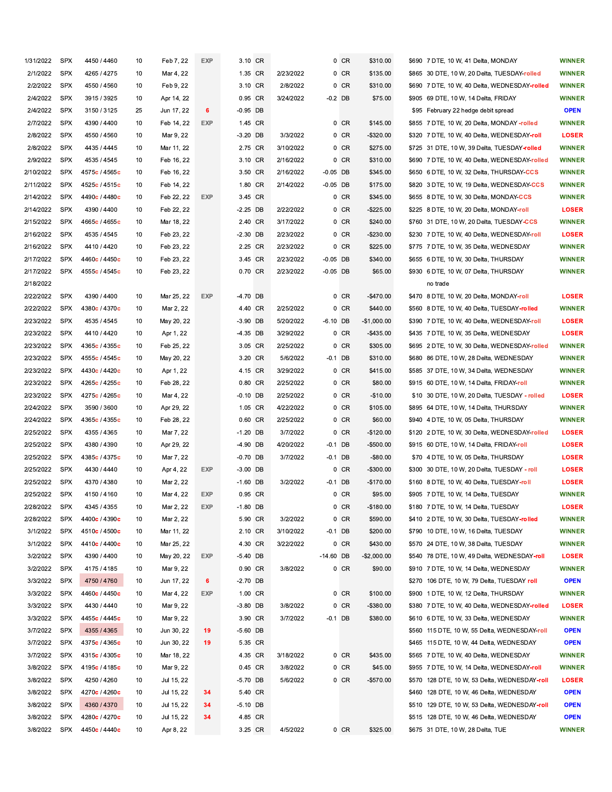| 1/31/2022 | <b>SPX</b> | 4450 / 4460                | 10 | Feb 7, 22  | <b>EXP</b> | 3.10 CR    |           |             | 0 CR      | \$310.00     | \$690 7 DTE, 10 W, 41 Delta, MONDAY                          | <b>WINNER</b> |
|-----------|------------|----------------------------|----|------------|------------|------------|-----------|-------------|-----------|--------------|--------------------------------------------------------------|---------------|
| 2/1/2022  | <b>SPX</b> | 4265 / 4275                | 10 | Mar 4, 22  |            | 1.35 CR    | 2/23/2022 |             | $0$ CR    | \$135.00     | \$865  30 DTE, 10 W, 20 Delta, TUESDAY-rolled                | <b>WINNER</b> |
| 2/2/2022  | <b>SPX</b> | 4550 / 4560                | 10 | Feb 9, 22  |            | 3.10 CR    | 2/8/2022  |             | $0$ CR    | \$310.00     | \$690 7 DTE, 10 W, 40 Delta, WEDNESDAY <b>-rolled</b>        | <b>WINNER</b> |
| 2/4/2022  | <b>SPX</b> | 3915 / 3925                | 10 | Apr 14, 22 |            | 0.95 CR    | 3/24/2022 |             | -0.2 DB   | \$75.00      | \$905 69 DTE, 10 W, 14 Delta, FRIDAY                         | <b>WINNER</b> |
| 2/4/2022  | <b>SPX</b> | 3150 / 3125                | 25 | Jun 17, 22 | 6          | $-0.95$ DB |           |             |           |              | \$95 February 22 hedge debit spread                          | <b>OPEN</b>   |
| 2/7/2022  | <b>SPX</b> | 4390 / 4400                | 10 | Feb 14, 22 | <b>EXP</b> | 1.45 CR    |           |             | $0$ CR    | \$145.00     | \$855 7 DTE, 10 W, 20 Delta, MONDAY -rolled                  | <b>WINNER</b> |
| 2/8/2022  | <b>SPX</b> | 4550 / 4560                | 10 | Mar 9, 22  |            | $-3.20$ DB | 3/3/2022  |             | $0$ CR    | $-$320.00$   | \$320 7 DTE, 10 W, 40 Delta, WEDNESDAY-roll                  | <b>LOSER</b>  |
| 2/8/2022  | <b>SPX</b> | 4435 / 4445                | 10 | Mar 11, 22 |            | 2.75 CR    | 3/10/2022 |             | $0$ CR    | \$275.00     |                                                              | <b>WINNER</b> |
| 2/9/2022  | <b>SPX</b> | 4535 / 4545                | 10 | Feb 16, 22 |            | 3.10 CR    | 2/16/2022 |             | 0 CR      | \$310.00     | \$690 7 DTE, 10 W, 40 Delta, WEDNESDAY-rolled                | <b>WINNER</b> |
| 2/10/2022 | <b>SPX</b> | 4575c / 4565c              | 10 | Feb 16, 22 |            | 3.50 CR    | 2/16/2022 | $-0.05$ DB  |           | \$345.00     | \$650 6 DTE, 10 W, 32 Delta, THURSDAY-CCS                    | <b>WINNER</b> |
| 2/11/2022 | <b>SPX</b> | 4525c / 4515c              | 10 | Feb 14, 22 |            | 1.80 CR    | 2/14/2022 | $-0.05$ DB  |           | \$175.00     | \$820 3 DTE, 10 W, 19 Delta, WEDNESDAY-CCS                   | <b>WINNER</b> |
| 2/14/2022 | <b>SPX</b> | 4490c / 4480c              | 10 | Feb 22, 22 | <b>EXP</b> | 3.45 CR    |           |             | $0$ CR    | \$345.00     | \$655 8 DTE, 10 W, 30 Delta, MONDAY-CCS                      | <b>WINNER</b> |
| 2/14/2022 | <b>SPX</b> | 4390 / 4400                | 10 | Feb 22, 22 |            | $-2.25$ DB | 2/22/2022 |             | 0 CR      | $-$225.00$   | \$225 8 DTE, 10 W, 20 Delta, MONDAY-roll                     | <b>LOSER</b>  |
| 2/15/2022 | <b>SPX</b> | 4665c / 4655c              | 10 | Mar 18, 22 |            | 2.40 CR    | 3/17/2022 |             | $0$ CR    | \$240.00     | \$760 31 DTE, 10 W, 20 Delta, TUESDAY-CCS                    | <b>WINNER</b> |
| 2/16/2022 | <b>SPX</b> | 4535 / 4545                | 10 | Feb 23, 22 |            | $-2.30$ DB | 2/23/2022 |             | 0 CR      | $-$230.00$   | \$230 7 DTE, 10 W, 40 Delta, WEDNESDAY-roll                  | <b>LOSER</b>  |
| 2/16/2022 | <b>SPX</b> | 4410 / 4420                | 10 | Feb 23, 22 |            | 2.25 CR    | 2/23/2022 |             | $0$ CR    | \$225.00     | \$775 7 DTE, 10 W, 35 Delta, WEDNESDAY                       | <b>WINNER</b> |
| 2/17/2022 | <b>SPX</b> | 4460c / 4450c              | 10 | Feb 23, 22 |            | 3.45 CR    | 2/23/2022 | $-0.05$ DB  |           | \$340.00     | \$655 6 DTE, 10 W, 30 Delta, THURSDAY                        | <b>WINNER</b> |
| 2/17/2022 | <b>SPX</b> | 4555c / 4545c              | 10 | Feb 23, 22 |            | 0.70 CR    | 2/23/2022 | $-0.05$ DB  |           | \$65.00      | \$930 6 DTE, 10 W, 07 Delta, THURSDAY                        | <b>WINNER</b> |
| 2/18/2022 |            |                            |    |            |            |            |           |             |           |              | no trade                                                     |               |
| 2/22/2022 | <b>SPX</b> | 4390 / 4400                | 10 | Mar 25, 22 | <b>EXP</b> | -4.70 DB   |           |             | $0$ CR    | -\$470.00    | \$470   8 DTE, 10 W, 20 Delta, MONDAY-roll                   | <b>LOSER</b>  |
| 2/22/2022 | <b>SPX</b> | 4380c / 4370c              | 10 | Mar 2, 22  |            | 4.40 CR    | 2/25/2022 |             | $0$ CR    | \$440.00     | \$560 8 DTE, 10 W, 40 Delta, TUESDAY <b>-rolled</b>          | <b>WINNER</b> |
| 2/23/2022 | <b>SPX</b> | 4535 / 4545                | 10 | May 20, 22 |            | $-3.90$ DB | 5/20/2022 | $-6.10$ DB  |           | $-$1,000.00$ | \$390 7 DTE, 10 W, 40 Delta, WEDNESDAY-roll                  | <b>LOSER</b>  |
| 2/23/2022 | <b>SPX</b> | 4410 / 4420                | 10 | Apr 1, 22  |            | $-4.35$ DB | 3/29/2022 |             | $0$ CR    | -\$435.00    | \$435 7 DTE, 10 W, 35 Delta, WEDNESDAY                       | <b>LOSER</b>  |
| 2/23/2022 | SPX        | 4365c / 4355c              | 10 | Feb 25, 22 |            | 3.05 CR    | 2/25/2022 |             | $0$ CR    | \$305.00     | \$695 2 DTE, 10 W, 30 Delta, WEDNESDAY-rolled                | <b>WINNER</b> |
| 2/23/2022 | <b>SPX</b> | 4555c / 4545c              | 10 | May 20, 22 |            | 3.20 CR    | 5/6/2022  | -0.1 DB     |           | \$310.00     | \$680 86 DTE, 10 W, 28 Delta, WEDNESDAY                      | <b>WINNER</b> |
| 2/23/2022 | <b>SPX</b> | 4430c / 4420c              | 10 | Apr 1, 22  |            | 4.15 CR    | 3/29/2022 |             | $0$ CR    | \$415.00     | \$585 37 DTE, 10 W, 34 Delta, WEDNESDAY                      | <b>WINNER</b> |
| 2/23/2022 | <b>SPX</b> | 4265c / 4255c              | 10 | Feb 28, 22 |            | 0.80 CR    | 2/25/2022 |             | $0$ CR    | \$80.00      | \$915 60 DTE, 10 W, 14 Delta, FRIDAY-roll                    | <b>WINNER</b> |
| 2/23/2022 | <b>SPX</b> | 4275c / 4265c              | 10 | Mar 4, 22  |            | $-0.10$ DB | 2/25/2022 |             | $0$ CR    | $-$10.00$    | \$10 30 DTE, 10 W, 20 Delta, TUESDAY - rolled                | <b>LOSER</b>  |
| 2/24/2022 | <b>SPX</b> | 3590 / 3600                | 10 | Apr 29, 22 |            | 1.05 CR    | 4/22/2022 |             | $0$ CR    | \$105.00     | \$895 64 DTE, 10 W, 14 Delta, THURSDAY                       | <b>WINNER</b> |
| 2/24/2022 | <b>SPX</b> | 4365c / 4355c              | 10 | Feb 28, 22 |            | 0.60 CR    | 2/25/2022 |             | $0$ CR    | \$60.00      | \$940 4 DTE, 10 W, 05 Delta, THURSDAY                        | <b>WINNER</b> |
| 2/25/2022 | <b>SPX</b> | 4355 / 4365                | 10 | Mar 7, 22  |            | $-1.20$ DB | 3/7/2022  |             | $0$ CR    | $-$120.00$   | \$120  2 DTE, 10 W, 30 Delta, WEDNESDAY- <mark>rolled</mark> | <b>LOSER</b>  |
| 2/25/2022 | <b>SPX</b> | 4380 / 4390                | 10 | Apr 29, 22 |            | -4.90 DB   | 4/20/2022 |             | -0.1 DB   | $-$500.00$   | \$915 60 DTE, 10 W, 14 Delta, FRIDAY-roll                    | <b>LOSER</b>  |
| 2/25/2022 | <b>SPX</b> | 4385c / 4375c              | 10 | Mar 7, 22  |            | $-0.70$ DB | 3/7/2022  | -0.1 DB     |           | $-$80.00$    | \$70 4 DTE, 10 W, 05 Delta, THURSDAY                         | <b>LOSER</b>  |
| 2/25/2022 | <b>SPX</b> | 4430 / 4440                | 10 | Apr 4, 22  | EXP        | $-3.00$ DB |           |             | $0$ CR    | $-$300.00$   | \$300 30 DTE, 10 W, 20 Delta, TUESDAY - roll                 | <b>LOSER</b>  |
|           | <b>SPX</b> |                            |    |            |            |            |           |             |           |              |                                                              | <b>LOSER</b>  |
| 2/25/2022 |            | 4370 / 4380<br>4150 / 4160 | 10 | Mar 2, 22  |            | $-1.60$ DB | 3/2/2022  |             | -0.1 DB   | $-$170.00$   | \$160   8 DTE, 10 W, 40 Delta, TUESDAY-roll                  |               |
| 2/25/2022 | <b>SPX</b> |                            | 10 | Mar 4, 22  | <b>EXP</b> | 0.95 CR    |           |             | $0$ CR    | \$95.00      | \$905 7 DTE, 10 W, 14 Delta, TUESDAY                         | <b>WINNER</b> |
| 2/28/2022 | SPX        | 4345 / 4355                | 10 | Mar 2, 22  | EXP        | $-1.80$ DB |           |             | $0$ CR    | $-$180.00$   | \$180 7 DTE, 10 W, 14 Delta, TUESDAY                         | <b>LOSER</b>  |
| 2/28/2022 | <b>SPX</b> | 4400c / 4390c              | 10 | Mar 2, 22  |            | 5.90 CR    | 3/2/2022  |             | $0$ CR    | \$590.00     | \$410 2 DTE, 10 W, 30 Delta, TUESDAY-rolled                  | <b>WINNER</b> |
| 3/1/2022  | <b>SPX</b> | 4510c / 4500c              | 10 | Mar 11, 22 |            | 2.10 CR    | 3/10/2022 |             | -0.1 DB   | \$200.00     | \$790 10 DTE, 10 W, 16 Delta, TUESDAY                        | <b>WINNER</b> |
| 3/1/2022  | <b>SPX</b> | 4410c / 4400c              | 10 | Mar 25, 22 |            | 4.30 CR    | 3/22/2022 |             | $0$ CR    | \$430.00     | \$570 24 DTE, 10 W, 38 Delta, TUESDAY                        | <b>WINNER</b> |
| 3/2/2022  | <b>SPX</b> | 4390 / 4400                | 10 | May 20, 22 | <b>EXP</b> | $-5.40$ DB |           | $-14.60$ DB |           | -\$2,000.00  | \$540 78 DTE, 10 W, 49 Delta, WEDNESDAY-roll                 | <b>LOSER</b>  |
| 3/2/2022  | <b>SPX</b> | 4175 / 4185                | 10 | Mar 9, 22  |            | 0.90 CR    | 3/8/2022  |             | $0$ CR    | \$90.00      | \$910 7 DTE, 10 W, 14 Delta, WEDNESDAY                       | <b>WINNER</b> |
| 3/3/2022  | <b>SPX</b> | 4750 / 4760                | 10 | Jun 17, 22 | 6          | $-2.70$ DB |           |             |           |              |                                                              | <b>OPEN</b>   |
| 3/3/2022  | SPX        | 4460c / 4450c              | 10 | Mar 4, 22  | <b>EXP</b> | 1.00 CR    |           |             | $0$ CR    | \$100.00     | \$900 1 DTE, 10 W, 12 Delta, THURSDAY                        | <b>WINNER</b> |
| 3/3/2022  | <b>SPX</b> | 4430 / 4440                | 10 | Mar 9, 22  |            | $-3.80$ DB | 3/8/2022  |             | $0$ CR    | -\$380.00    | \$380 7 DTE, 10 W, 40 Delta, WEDNESDAY-rolled                | <b>LOSER</b>  |
| 3/3/2022  | SPX        | 4455c / 4445c              | 10 | Mar 9, 22  |            | 3.90 CR    | 3/7/2022  |             | $-0.1$ DB | \$380.00     | \$610 6 DTE, 10 W, 33 Delta, WEDNESDAY                       | <b>WINNER</b> |
| 3/7/2022  | <b>SPX</b> | 4355 / 4365                | 10 | Jun 30, 22 | 19         | $-5.60$ DB |           |             |           |              | \$560 115 DTE, 10 W, 55 Delta, WEDNESDAY-roll                | <b>OPEN</b>   |
| 3/7/2022  | SPX        | 4375c / 4365c              | 10 | Jun 30, 22 | 19         | 5.35 CR    |           |             |           |              | \$465 115 DTE, 10 W, 44 Delta, WEDNESDAY                     | <b>OPEN</b>   |
| 3/7/2022  | <b>SPX</b> | 4315c / 4305c              | 10 | Mar 18, 22 |            | 4.35 CR    | 3/18/2022 |             | $0$ CR    | \$435.00     | \$565 7 DTE, 10 W, 40 Delta, WEDNESDAY                       | <b>WINNER</b> |
| 3/8/2022  | <b>SPX</b> | 4195c / 4185c              | 10 | Mar 9, 22  |            | 0.45 CR    | 3/8/2022  |             | $0$ CR    | \$45.00      | \$955 7 DTE, 10 W, 14 Delta, WEDNESDAY-roll                  | <b>WINNER</b> |
| 3/8/2022  | <b>SPX</b> | 4250 / 4260                | 10 | Jul 15, 22 |            | $-5.70$ DB | 5/6/2022  |             | $0$ CR    | $-$570.00$   |                                                              | LOSER         |
| 3/8/2022  | SPX        | 4270c / 4260c              | 10 | Jul 15, 22 | 34         | 5.40 CR    |           |             |           |              | \$460 128 DTE, 10 W, 46 Delta, WEDNESDAY                     | <b>OPEN</b>   |
| 3/8/2022  | <b>SPX</b> | 4360 / 4370                | 10 | Jul 15, 22 | 34         | $-5.10$ DB |           |             |           |              | \$510 129 DTE, 10 W, 53 Delta, WEDNESDAY-roll                | <b>OPEN</b>   |
| 3/8/2022  | <b>SPX</b> | 4280c / 4270c              | 10 | Jul 15, 22 | 34         | 4.85 CR    |           |             |           |              | \$515 128 DTE, 10 W, 46 Delta, WEDNESDAY                     | <b>OPEN</b>   |
| 3/8/2022  | <b>SPX</b> | 4450c / 4440c              | 10 | Apr 8, 22  |            | 3.25 CR    | 4/5/2022  |             | $0$ CR    | \$325.00     | \$675  31 DTE, 10 W, 28 Delta, TUE                           | <b>WINNER</b> |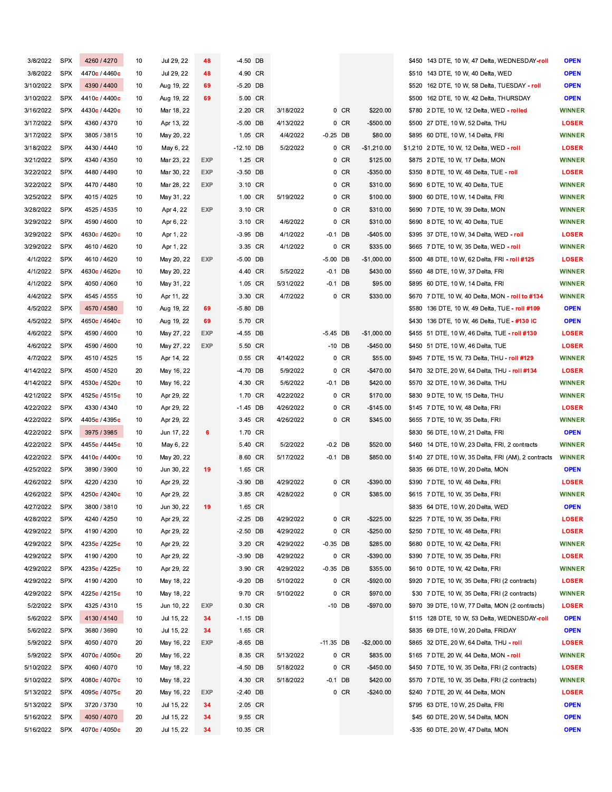| 3/8/2022  | <b>SPX</b> | 4260 / 4270   | 10 | Jul 29, 22 | 48         | $-4.50$ DB  |           |             |          |              | \$450 143 DTE, 10 W, 47 Delta, WEDNESDAY-roll       | <b>OPEN</b>   |
|-----------|------------|---------------|----|------------|------------|-------------|-----------|-------------|----------|--------------|-----------------------------------------------------|---------------|
| 3/8/2022  | <b>SPX</b> | 4470c / 4460c | 10 | Jul 29, 22 | 48         | 4.90 CR     |           |             |          |              | \$510 143 DTE, 10 W, 40 Delta, WED                  | <b>OPEN</b>   |
| 3/10/2022 | <b>SPX</b> | 4390 / 4400   | 10 | Aug 19, 22 | 69         | $-5.20$ DB  |           |             |          |              | \$520 162 DTE, 10 W, 58 Delta, TUESDAY - roll       | <b>OPEN</b>   |
| 3/10/2022 | <b>SPX</b> | 4410c / 4400c | 10 | Aug 19, 22 | 69         | 5.00 CR     |           |             |          |              | \$500 162 DTE, 10 W, 42 Delta, THURSDAY             | <b>OPEN</b>   |
| 3/16/2022 | <b>SPX</b> | 4430c / 4420c | 10 | Mar 18, 22 |            | 2.20 CR     | 3/18/2022 |             | 0 CR     | \$220.00     | \$780 2 DTE, 10 W, 12 Delta, WED - rolled           | <b>WINNER</b> |
| 3/17/2022 | <b>SPX</b> | 4360 / 4370   | 10 | Apr 13, 22 |            | $-5.00$ DB  | 4/13/2022 |             | 0 CR     | $-$500.00$   | \$500 27 DTE, 10 W, 52 Delta, THU                   | <b>LOSER</b>  |
| 3/17/2022 | <b>SPX</b> | 3805 / 3815   | 10 | May 20, 22 |            | 1.05 CR     | 4/4/2022  | $-0.25$ DB  |          | \$80.00      | \$895 60 DTE, 10 W, 14 Delta, FRI                   | <b>WINNER</b> |
| 3/18/2022 | <b>SPX</b> | 4430 / 4440   |    |            |            | $-12.10$ DB | 5/2/2022  |             |          | $-$1,210.00$ |                                                     | <b>LOSER</b>  |
|           |            |               | 10 | May 6, 22  |            |             |           |             | 0 CR     |              | \$1,210 2 DTE, 10 W, 12 Delta, WED - roll           |               |
| 3/21/2022 | <b>SPX</b> | 4340 / 4350   | 10 | Mar 23, 22 | <b>EXP</b> | 1.25 CR     |           |             | 0 CR     | \$125.00     | \$875 2 DTE, 10 W, 17 Delta, MON                    | <b>WINNER</b> |
| 3/22/2022 | <b>SPX</b> | 4480 / 4490   | 10 | Mar 30, 22 | <b>EXP</b> | $-3.50$ DB  |           |             | $0$ CR   | $-$350.00$   | \$350 8 DTE, 10 W, 48 Delta, TUE - roll             | <b>LOSER</b>  |
| 3/22/2022 | <b>SPX</b> | 4470 / 4480   | 10 | Mar 28, 22 | <b>EXP</b> | 3.10 CR     |           |             | $0$ CR   | \$310.00     | \$690 6 DTE, 10 W, 40 Delta, TUE                    | <b>WINNER</b> |
| 3/25/2022 | <b>SPX</b> | 4015 / 4025   | 10 | May 31, 22 |            | 1.00 CR     | 5/19/2022 |             | 0 CR     | \$100.00     | \$900 60 DTE, 10 W, 14 Delta, FRI                   | <b>WINNER</b> |
| 3/28/2022 | <b>SPX</b> | 4525 / 4535   | 10 | Apr 4, 22  | <b>EXP</b> | 3.10 CR     |           |             | 0 CR     | \$310.00     | \$690 7 DTE, 10 W, 39 Delta, MON                    | <b>WINNER</b> |
| 3/29/2022 | <b>SPX</b> | 4590 / 4600   | 10 | Apr 6, 22  |            | 3.10 CR     | 4/6/2022  |             | 0 CR     | \$310.00     | \$690 8 DTE, 10 W, 40 Delta, TUE                    | <b>WINNER</b> |
| 3/29/2022 | <b>SPX</b> | 4630c / 4620c | 10 | Apr 1, 22  |            | $-3.95$ DB  | 4/1/2022  | $-0.1$ DB   |          | $-$405.00$   | \$395 37 DTE, 10 W, 34 Delta, WED - roll            | <b>LOSER</b>  |
| 3/29/2022 | <b>SPX</b> | 4610 / 4620   | 10 | Apr 1, 22  |            | 3.35 CR     | 4/1/2022  |             | 0 CR     | \$335.00     | \$665 7 DTE, 10 W, 35 Delta, WED - roll             | <b>WINNER</b> |
| 4/1/2022  | <b>SPX</b> | 4610 / 4620   | 10 | May 20, 22 | <b>EXP</b> | -5.00 DB    |           | $-5.00$ DB  |          | $-$1,000.00$ | \$500 48 DTE, 10 W, 62 Delta, FRI - roll #125       | <b>LOSER</b>  |
| 4/1/2022  | <b>SPX</b> | 4630c / 4620c | 10 | May 20, 22 |            | 4.40 CR     | 5/5/2022  | $-0.1$ DB   |          | \$430.00     | \$560 48 DTE, 10 W, 37 Delta, FRI                   | <b>WINNER</b> |
| 4/1/2022  | <b>SPX</b> | 4050 / 4060   | 10 | May 31, 22 |            | 1.05 CR     | 5/31/2022 | $-0.1$ DB   |          | \$95.00      | \$895 60 DTE, 10 W, 14 Delta, FRI                   | <b>WINNER</b> |
| 4/4/2022  | <b>SPX</b> | 4545 / 4555   | 10 | Apr 11, 22 |            | 3.30 CR     | 4/7/2022  |             | 0 CR     | \$330.00     | \$670 7 DTE, 10 W, 40 Delta, MON - roll to #134     | <b>WINNER</b> |
| 4/5/2022  | <b>SPX</b> | 4570 / 4580   | 10 | Aug 19, 22 | 69         | -5.80 DB    |           |             |          |              | \$580 136 DTE, 10 W, 49 Delta, TUE - roll #109      | <b>OPEN</b>   |
| 4/5/2022  | <b>SPX</b> | 4650c / 4640c | 10 | Aug 19, 22 | 69         | 5.70 CR     |           |             |          |              | \$430 136 DTE, 10 W, 46 Delta, TUE - #130 IC        | <b>OPEN</b>   |
| 4/6/2022  | <b>SPX</b> | 4590 / 4600   | 10 | May 27, 22 | <b>EXP</b> | $-4.55$ DB  |           | $-5.45$ DB  |          | $-$1,000.00$ | \$455 51 DTE, 10 W, 46 Delta, TUE - roll #130       | <b>LOSER</b>  |
| 4/6/2022  | <b>SPX</b> | 4590 / 4600   | 10 | May 27, 22 | <b>EXP</b> | 5.50 CR     |           | $-10$ DB    |          | $-$450.00$   | \$450 51 DTE, 10 W, 46 Delta, TUE                   | <b>LOSER</b>  |
| 4/7/2022  | <b>SPX</b> | 4510 / 4525   | 15 | Apr 14, 22 |            | 0.55 CR     | 4/14/2022 |             | 0 CR     | \$55.00      | \$945 7 DTE, 15 W, 73 Delta, THU - roll #129        | <b>WINNER</b> |
| 4/14/2022 | <b>SPX</b> | 4500 / 4520   | 20 | May 16, 22 |            | $-4.70$ DB  | 5/9/2022  |             | $0$ CR   | -\$470.00    | \$470 32 DTE, 20 W, 64 Delta, THU - roll #134       | <b>LOSER</b>  |
| 4/14/2022 | <b>SPX</b> | 4530c / 4520c | 10 | May 16, 22 |            | 4.30 CR     | 5/6/2022  | $-0.1$ DB   |          | \$420.00     | \$570 32 DTE, 10 W, 36 Delta, THU                   | <b>WINNER</b> |
| 4/21/2022 | <b>SPX</b> | 4525c / 4515c | 10 | Apr 29, 22 |            | 1.70 CR     | 4/22/2022 |             | 0 CR     | \$170.00     | \$830 9 DTE, 10 W, 15 Delta, THU                    | <b>WINNER</b> |
| 4/22/2022 | <b>SPX</b> | 4330 / 4340   | 10 |            |            | $-1.45$ DB  | 4/26/2022 |             | 0 CR     | $-$145.00$   | \$145 7 DTE, 10 W, 48 Delta, FRI                    | <b>LOSER</b>  |
|           |            |               |    | Apr 29, 22 |            |             |           |             |          |              |                                                     |               |
| 4/22/2022 | <b>SPX</b> | 4405c / 4395c | 10 | Apr 29, 22 |            | 3.45 CR     | 4/26/2022 |             | 0 CR     | \$345.00     | \$655 7 DTE, 10 W, 35 Delta, FRI                    | <b>WINNER</b> |
| 4/22/2022 | <b>SPX</b> | 3975 / 3985   | 10 | Jun 17, 22 | 6          | 1.70 CR     |           |             |          |              | \$830 56 DTE, 10 W, 21 Delta, FRI                   | <b>OPEN</b>   |
| 4/22/2022 | <b>SPX</b> | 4455c / 4445c | 10 | May 6, 22  |            | 5.40 CR     | 5/2/2022  | $-0.2$ DB   |          | \$520.00     | \$460 14 DTE, 10 W, 23 Delta, FRI, 2 contracts      | <b>WINNER</b> |
| 4/22/2022 | SPX        | 4410c / 4400c | 10 | May 20, 22 |            | 8.60 CR     | 5/17/2022 | $-0.1$ DB   |          | \$850.00     | \$140 27 DTE, 10 W, 35 Delta, FRI (AM), 2 contracts | <b>WINNER</b> |
| 4/25/2022 | <b>SPX</b> | 3890 / 3900   | 10 | Jun 30, 22 | 19         | 1.65 CR     |           |             |          |              | \$835 66 DTE, 10 W, 20 Delta, MON                   | <b>OPEN</b>   |
| 4/26/2022 | <b>SPX</b> | 4220 / 4230   | 10 | Apr 29, 22 |            | $-3.90$ DB  | 4/29/2022 |             | 0 CR     | $-$ \$390.00 | \$390 7 DTE, 10 W, 48 Delta, FRI                    | <b>LOSER</b>  |
| 4/26/2022 | <b>SPX</b> | 4250c / 4240c | 10 | Apr 29, 22 |            | 3.85 CR     | 4/28/2022 |             | 0 CR     | \$385.00     | \$615 7 DTE, 10 W, 35 Delta, FRI                    | <b>WINNER</b> |
| 4/27/2022 | <b>SPX</b> | 3800 / 3810   | 10 | Jun 30, 22 | 19         | 1.65 CR     |           |             |          |              | \$835 64 DTE, 10 W, 20 Delta, WED                   | <b>OPEN</b>   |
| 4/28/2022 | <b>SPX</b> | 4240 / 4250   | 10 | Apr 29, 22 |            | $-2.25$ DB  | 4/29/2022 |             | 0 CR     | $-$ \$225.00 | \$225 7 DTE, 10 W, 35 Delta, FRI                    | <b>LOSER</b>  |
| 4/29/2022 | <b>SPX</b> | 4190 / 4200   | 10 | Apr 29, 22 |            | $-2.50$ DB  | 4/29/2022 |             | $0$ CR   | $-$250.00$   | \$250 7 DTE, 10 W, 48 Delta, FRI                    | <b>LOSER</b>  |
| 4/29/2022 | SPX        | 4235c / 4225c | 10 | Apr 29, 22 |            | 3.20 CR     | 4/29/2022 | $-0.35$ DB  |          | \$285.00     | \$680 0 DTE, 10 W, 42 Delta, FRI                    | <b>WINNER</b> |
| 4/29/2022 | <b>SPX</b> | 4190 / 4200   | 10 | Apr 29, 22 |            | $-3.90$ DB  | 4/29/2022 |             | 0 CR     | -\$390.00    | \$390 7 DTE, 10 W, 35 Delta, FRI                    | <b>LOSER</b>  |
| 4/29/2022 | <b>SPX</b> | 4235c / 4225c | 10 | Apr 29, 22 |            | 3.90 CR     | 4/29/2022 | $-0.35$ DB  |          | \$355.00     | \$610 0 DTE, 10 W, 42 Delta, FRI                    | <b>WINNER</b> |
| 4/29/2022 | <b>SPX</b> | 4190 / 4200   | 10 | May 18, 22 |            | $-9.20$ DB  | 5/10/2022 |             | $0$ CR   | $-$ \$920.00 | \$920 7 DTE, 10 W, 35 Delta, FRI (2 contracts)      | <b>LOSER</b>  |
| 4/29/2022 | SPX        | 4225c / 4215c | 10 | May 18, 22 |            | 9.70 CR     | 5/10/2022 |             | $0$ CR   | \$970.00     | \$30 7 DTE, 10 W, 35 Delta, FRI (2 contracts)       | <b>WINNER</b> |
| 5/2/2022  | <b>SPX</b> | 4325 / 4310   | 15 | Jun 10, 22 | EXP        | 0.30 CR     |           |             | $-10$ DB | -\$970.00    | \$970 39 DTE, 10 W, 77 Delta, MON (2 contracts)     | <b>LOSER</b>  |
| 5/6/2022  | <b>SPX</b> | 4130 / 4140   | 10 | Jul 15, 22 | 34         | $-1.15$ DB  |           |             |          |              | \$115 128 DTE, 10 W, 53 Delta, WEDNESDAY-roll       | <b>OPEN</b>   |
| 5/6/2022  | <b>SPX</b> | 3680 / 3690   | 10 | Jul 15, 22 | 34         | 1.65 CR     |           |             |          |              | \$835 69 DTE, 10 W, 20 Delta, FRIDAY                | <b>OPEN</b>   |
| 5/9/2022  | <b>SPX</b> | 4050 / 4070   | 20 | May 16, 22 | <b>EXP</b> | $-8.65$ DB  |           | $-11.35$ DB |          | $-$2,000.00$ | \$865 32 DTE, 20 W, 64 Delta, THU - roll            | <b>LOSER</b>  |
| 5/9/2022  | <b>SPX</b> | 4070c / 4050c | 20 | May 16, 22 |            | 8.35 CR     | 5/13/2022 |             | 0 CR     | \$835.00     | \$165 7 DTE, 20 W, 44 Delta, MON - roll             | <b>WINNER</b> |
| 5/10/2022 | <b>SPX</b> | 4060 / 4070   | 10 | May 18, 22 |            | $-4.50$ DB  | 5/18/2022 |             | 0 CR     | -\$450.00    | \$450 7 DTE, 10 W, 35 Delta, FRI (2 contracts)      | <b>LOSER</b>  |
| 5/10/2022 | <b>SPX</b> | 4080c / 4070c | 10 | May 18, 22 |            | 4.30 CR     | 5/18/2022 | $-0.1$ DB   |          | \$420.00     | \$570 7 DTE, 10 W, 35 Delta, FRI (2 contracts)      | <b>WINNER</b> |
| 5/13/2022 | <b>SPX</b> | 4095c / 4075c | 20 | May 16, 22 | EXP        | $-2.40$ DB  |           |             | $0$ CR   | $-$240.00$   | \$240 7 DTE, 20 W, 44 Delta, MON                    | <b>LOSER</b>  |
|           | <b>SPX</b> |               |    |            |            |             |           |             |          |              |                                                     |               |
| 5/13/2022 |            | 3720 / 3730   | 10 | Jul 15, 22 | 34         | 2.05 CR     |           |             |          |              | \$795 63 DTE, 10 W, 25 Delta, FRI                   | <b>OPEN</b>   |
| 5/16/2022 | <b>SPX</b> | 4050 / 4070   | 20 | Jul 15, 22 | 34         | 9.55 CR     |           |             |          |              | \$45 60 DTE, 20 W, 54 Delta, MON                    | <b>OPEN</b>   |
| 5/16/2022 | <b>SPX</b> | 4070c / 4050c | 20 | Jul 15, 22 | 34         | 10.35 CR    |           |             |          |              | -\$35 60 DTE, 20 W, 47 Delta, MON                   | <b>OPEN</b>   |

÷